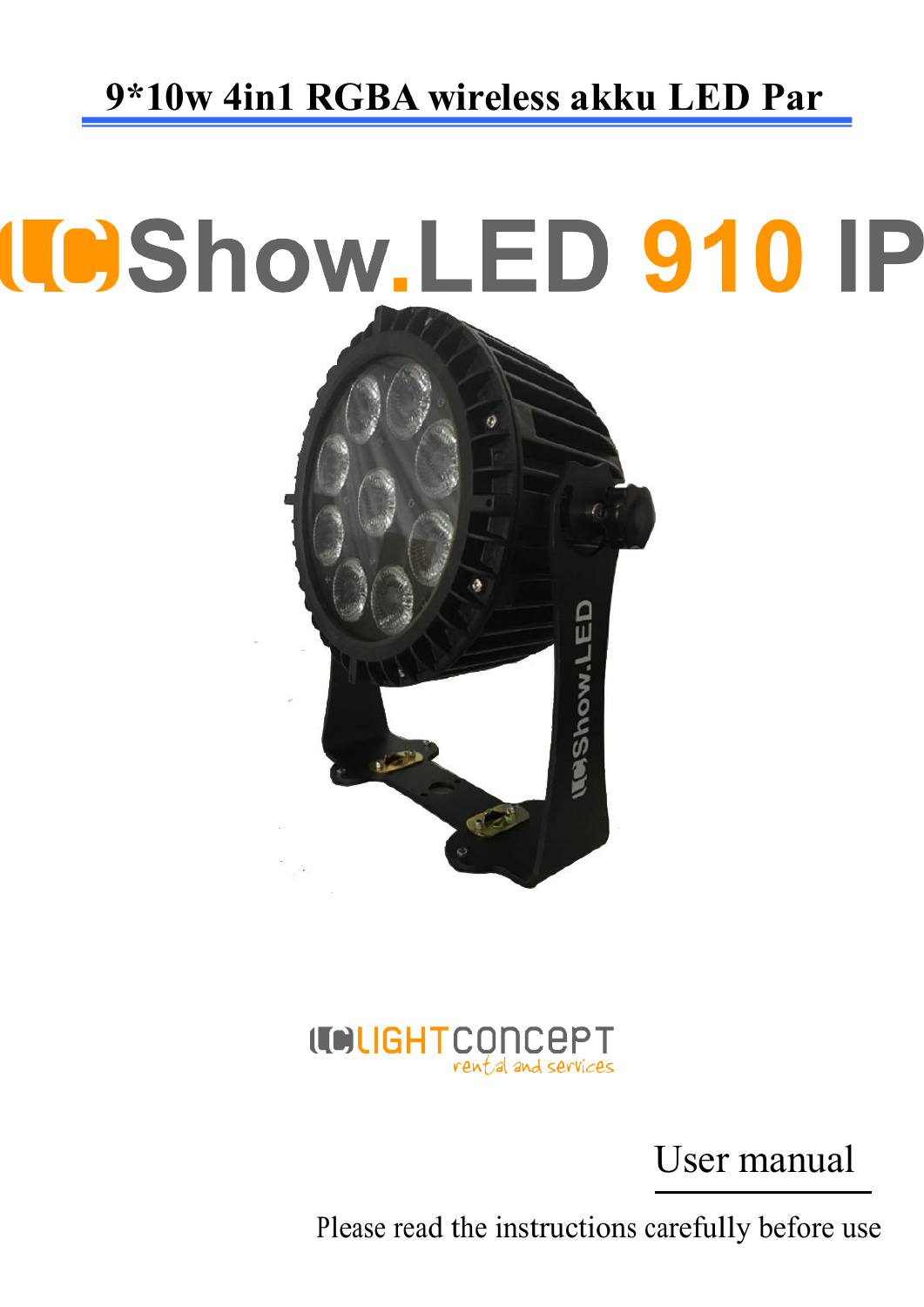# **ICShow.LED 910 IP MAShow.LED**



User manual

Please read the instructions carefully before use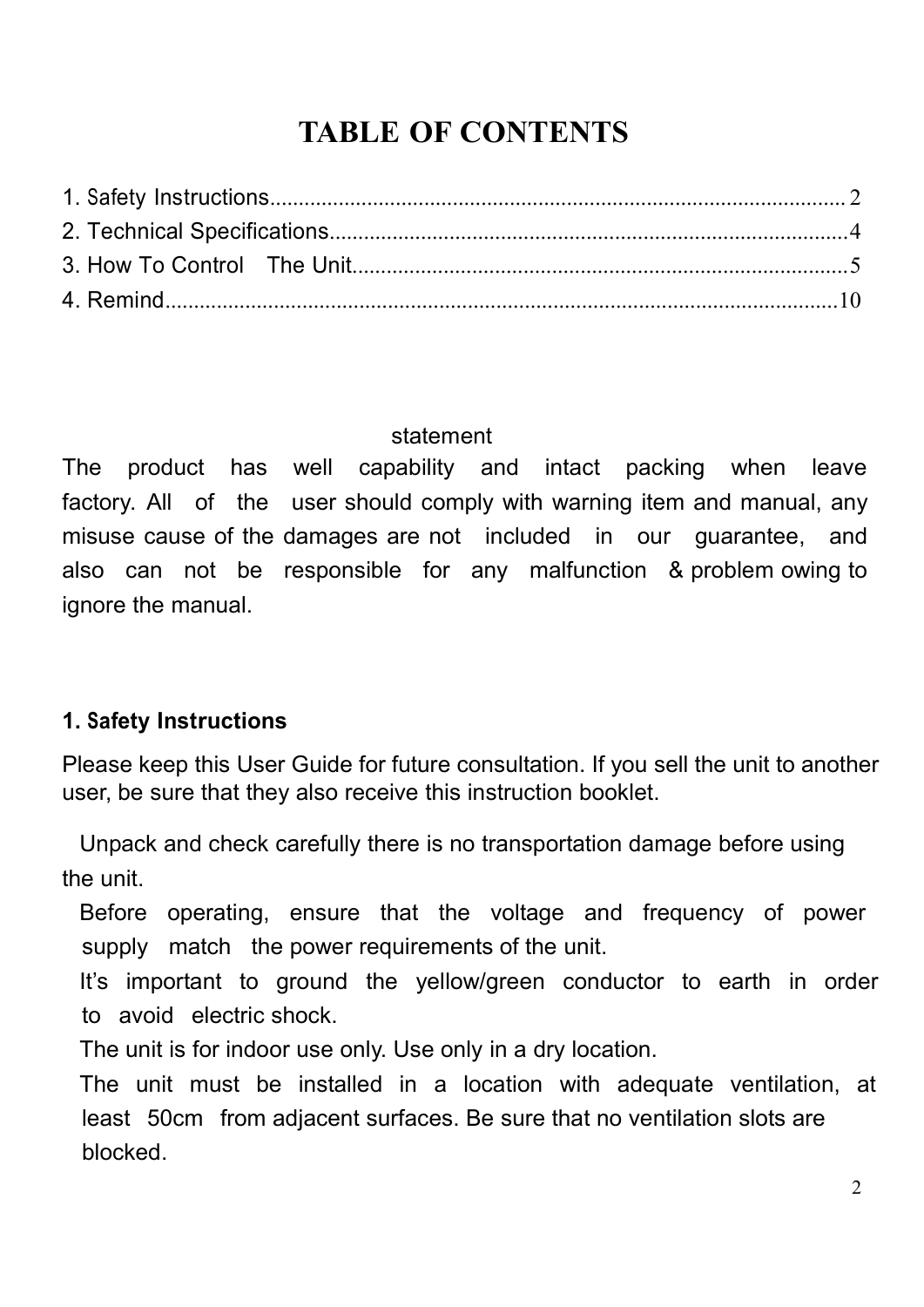# **TABLE OF CONTENTS**

<span id="page-1-0"></span>

#### statement

The product has well capability and intact packing when leave factory. All of the user should comply with warning item and manual, any misuse cause of the damages are not included in our guarantee, and also can not be responsible for any malfunction & problem owing to ignore the manual.

#### **1. Safety Instructions**

Please keep this User Guide for future consultation. If you sell the unit to another user, be sure that they also receive this instruction booklet.

Unpack and check carefully there is no transportation damage before using the unit.

Before operating, ensure that the voltage and frequency of power supply match the power requirements of the unit.

It's important to ground the yellow/green conductor to earth in order to avoid electric shock.

The unit is for indoor use only. Use only in a dry location.

The unit must be installed in a location with adequate ventilation, at least 50cm from adjacent surfaces. Be sure that no ventilation slots are blocked.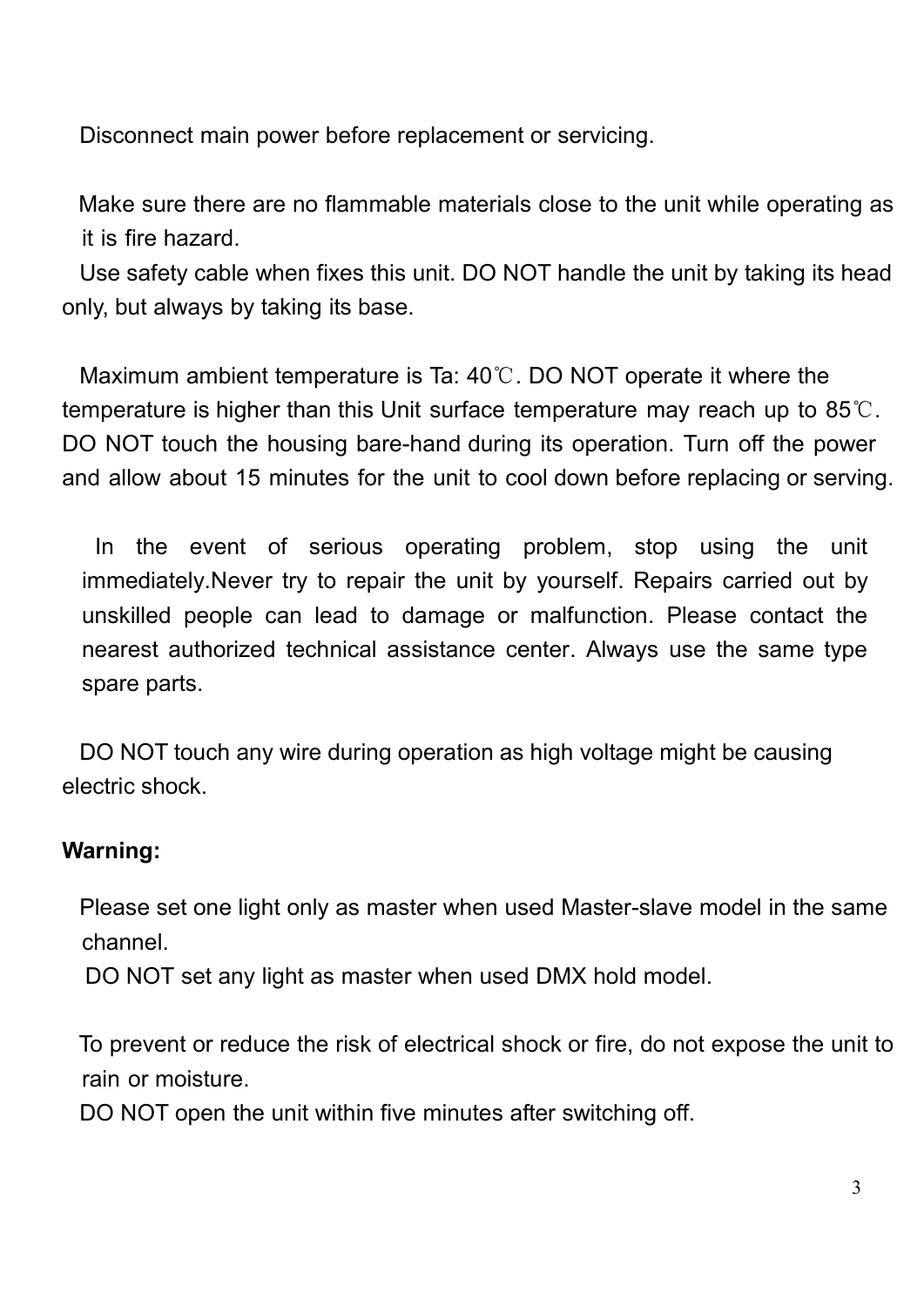Disconnect main power before replacement or servicing.

Make sure there are no flammable materials close to the unit while operating as it is fire hazard.

Use safety cable when fixes this unit. DO NOT handle the unit by taking its head only, but always by taking its base.

Maximum ambient temperature is Ta: 40℃. DO NOT operate it where the temperature is higher than this Unit surface temperature may reach up to  $85^{\circ}$ . DO NOT touch the housing bare-hand during its operation. Turn off the power and allow about 15 minutes for the unit to cool down before replacing or serving.

In the event of serious operating problem, stop using the unit immediately. Never try to repair the unit by yourself. Repairs carried out by unskilled people can lead to damage or malfunction. Please contact the nearest authorized technical assistance center. Always use the same type spare parts.

DO NOT touch any wire during operation as high voltage might be causing electric shock.

#### **Warning:**

Please set one light only as master when used Master-slave model in the same channel.

DO NOT set any light as master when used DMX hold model.

To prevent or reduce the risk of electrical shock or fire, do not expose the unit to rain or moisture.

DO NOT open the unit within five minutes after switching off.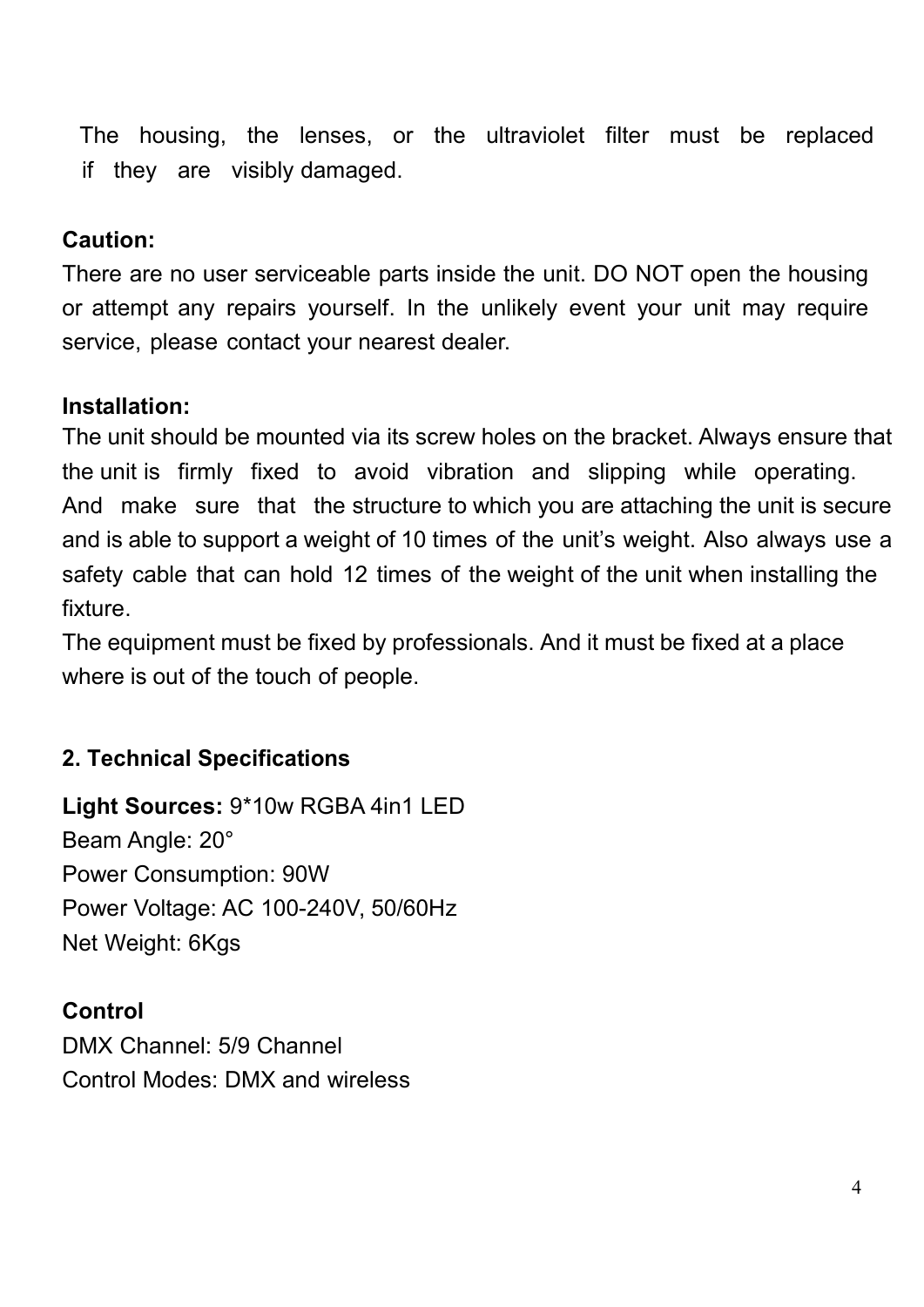<span id="page-3-0"></span>The housing, the lenses, or the ultraviolet filter must be replaced if they are visibly damaged.

#### **Caution:**

There are no user serviceable parts inside the unit. DO NOT open the housing or attempt any repairs yourself. In the unlikely event your unit may require service, please contact your nearest dealer.

#### **Installation:**

The unit should be mounted via its screw holes on the bracket. Always ensure that the unit is firmly fixed to avoid vibration and slipping while operating. And make sure that the structure to which you are attaching the unit is secure and is able to support a weight of 10 times of the unit's weight. Also always use a safety cable that can hold 12 times of the weight of the unit when installing the fixture.

The equipment must be fixed by professionals. And it must be fixed at a place where is out of the touch of people.

#### **2. Technical Specifications**

**Light Sources:** 9\*10w RGBA 4in1LED Beam Angle: 20° Power Consumption: 90W Power Voltage: AC 100-240V, 50/60Hz Net Weight: 6Kgs

#### **Control**

DMX Channel: 5/9 Channel Control Modes: DMX and wireless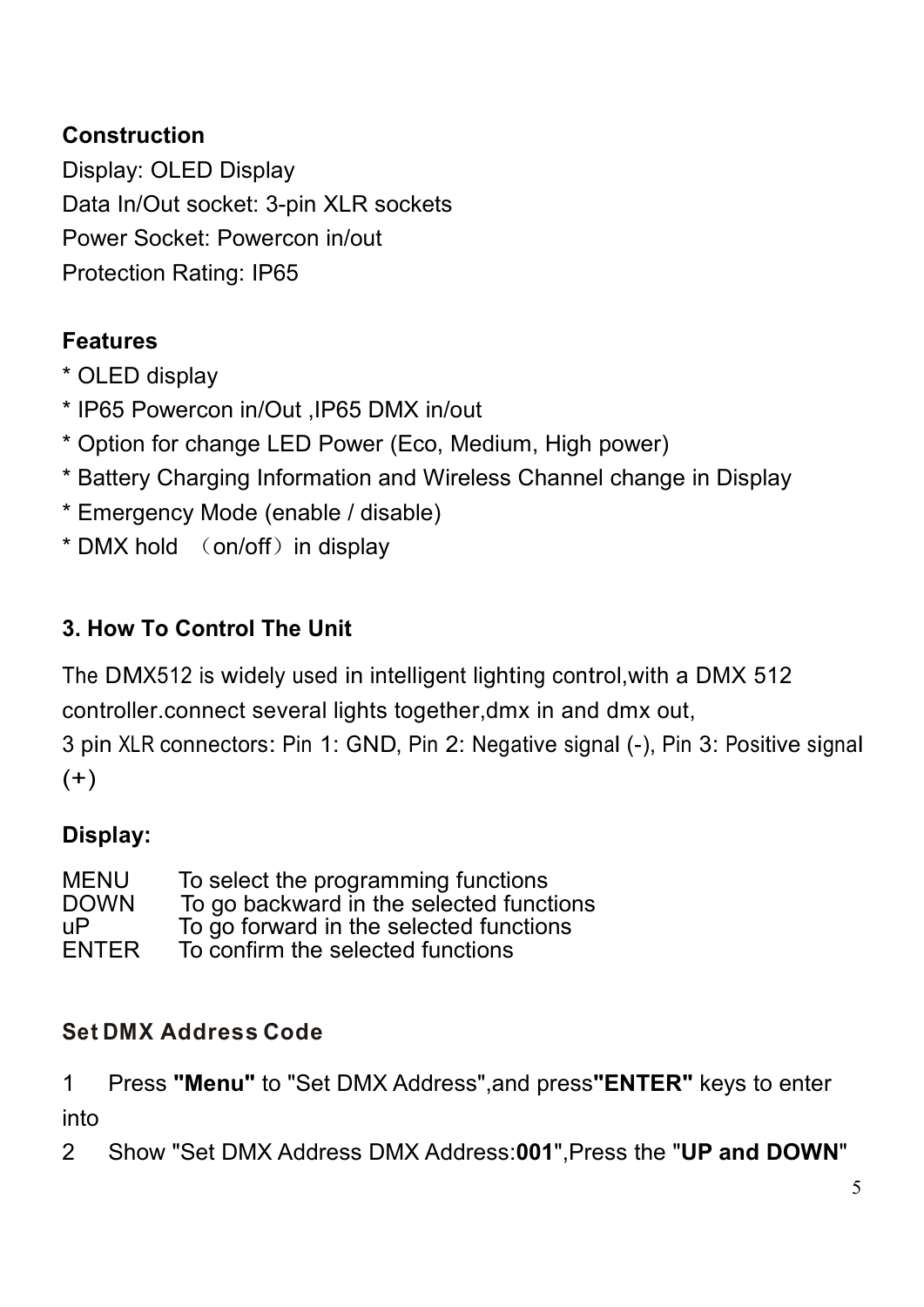### <span id="page-4-0"></span>**Construction**

Display: OLED Display Data In/Out socket: 3-pin XLR sockets Power Socket: Powercon in/out Protection Rating: IP65

# **Features**

\* OLED display

- 
- \* IP65 Powercon in/Out ,IP65 DMX in/out\* Option for change LED Power (Eco, Medium, High power)
- \* Battery Charging Information and Wireless Channel change in Display
- \* Emergency Mode (enable / disable)
- $*$  DMX hold  $($  on/off $)$  in display

# **3. How To Control The Unit**

The DMX512 is widely used in intelligent lighting control,with a DMX 512 controller.connect several lights together,dmx in and dmx out, 3 pin XLR connectors: Pin 1: GND, Pin 2: Negative signal (-), Pin 3: Positive signal  $(+)$ 

# **Display:**

MENU To select the programming functions<br>DOWN To go backward in the selected funct DOWN To go backward in the selected functions<br>uP To go forward in the selected functions uP To go forward in the selected functions<br>ENTER To confirm the selected functions To confirm the selected functions

#### **Set DMX Address Code**

1 Press **"Menu"** to "Set DMX Address",and press**"ENTER"** keys to enter into

2 Show "Set DMX Address DMX Address:**001**",Press the "**UP and DOWN**"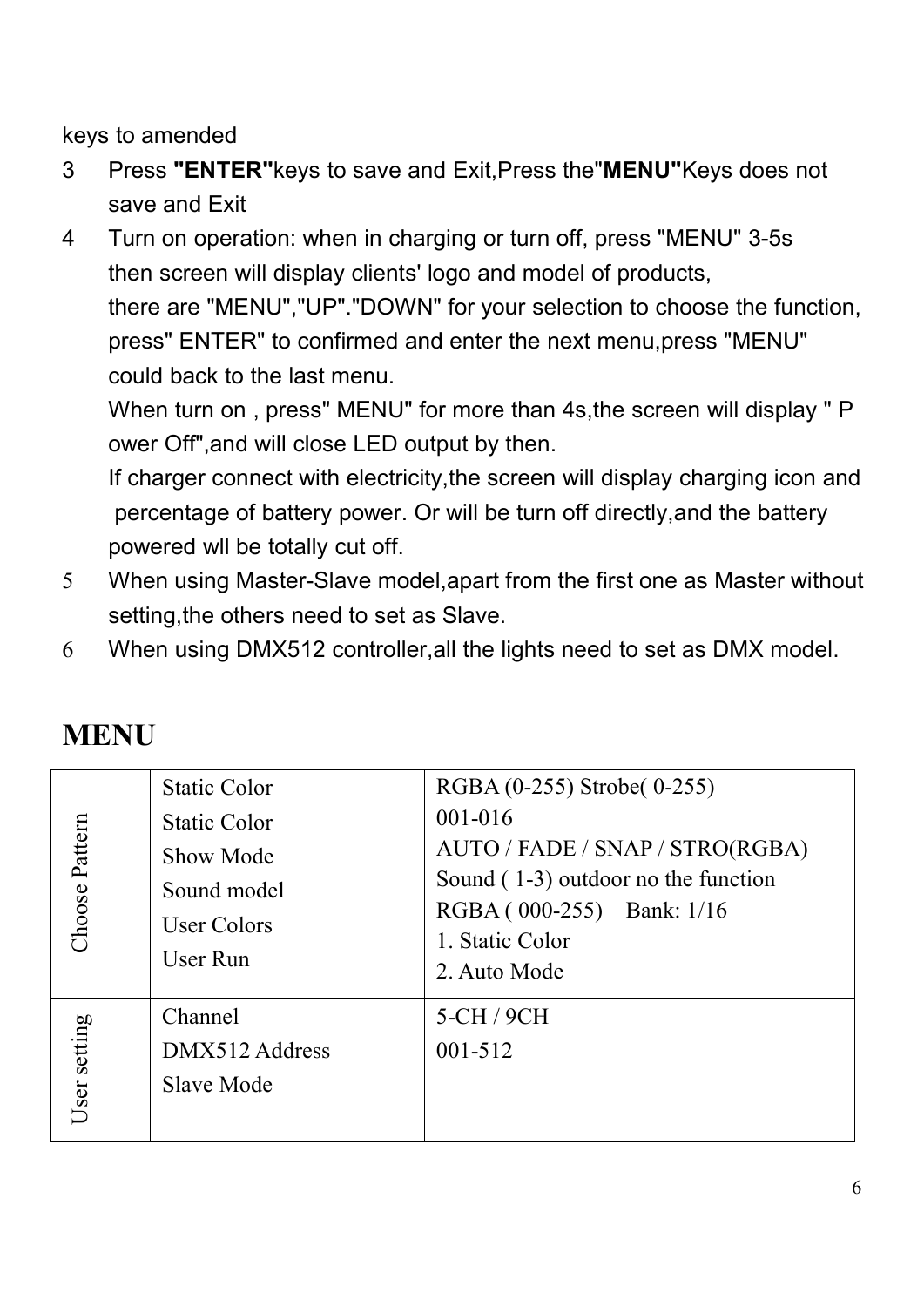keys to amended

- 3 Press **"ENTER"**keys to save and Exit,Press the"**MENU"**Keys does not save and Exit
- 4 Turn on operation: when in charging or turn off, press "MENU" 3-5s then screen will display clients' logo and model of products, there are "MENU","UP"."DOWN" for your selection to choose the function, press" ENTER" to confirmed and enter the next menu,press "MENU" could back to the last menu.

When turn on , press" MENU" for more than 4s,the screen will display " P ower Off", and will close LED output by then.

If charger connect with electricity,the screen will display charging icon and percentage of battery power. Or will be turn off directly,and the battery powered wll be totally cut off.

- 5 When using Master-Slave model,apart from the first one as Master without setting,the others need to set as Slave.
- 6 When using DMX512 controller,all the lights need to set as DMX model.

|                | <b>Static Color</b> | RGBA (0-255) Strobe(0-255)          |
|----------------|---------------------|-------------------------------------|
|                | <b>Static Color</b> | $001 - 016$                         |
| Choose Pattern | Show Mode           | AUTO / FADE / SNAP / STRO(RGBA)     |
|                | Sound model         | Sound (1-3) outdoor no the function |
|                | User Colors         | RGBA (000-255) Bank: 1/16           |
|                | User Run            | 1. Static Color                     |
|                |                     | 2. Auto Mode                        |
|                | Channel             | 5-CH / 9CH                          |
| User setting   | DMX512 Address      | $001 - 512$                         |
|                | Slave Mode          |                                     |
|                |                     |                                     |
|                |                     |                                     |

# **MENU**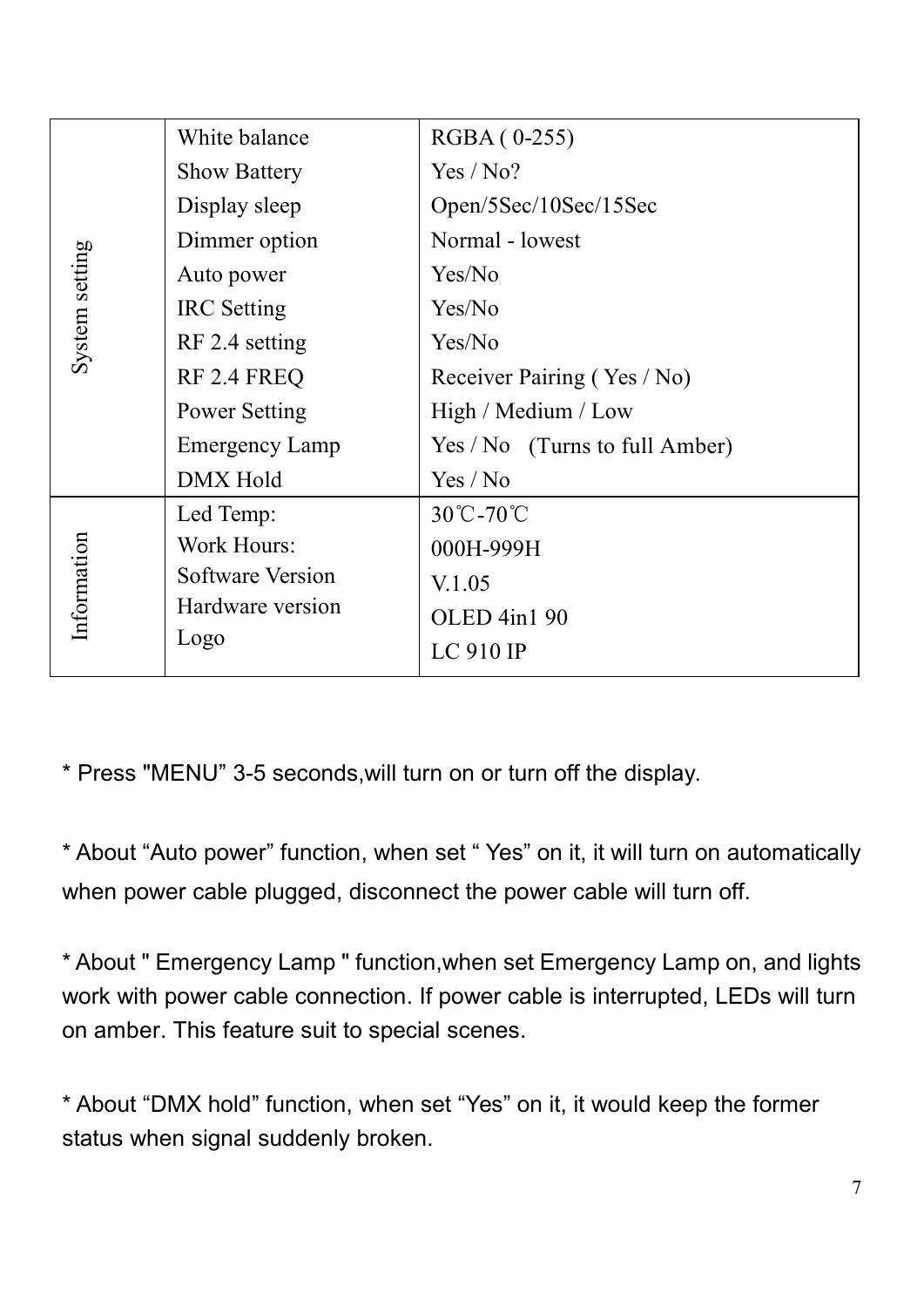|                | White balance         | RGBA (0-255)                     |
|----------------|-----------------------|----------------------------------|
|                | <b>Show Battery</b>   | Yes / No?                        |
|                | Display sleep         | Open/5Sec/10Sec/15Sec            |
|                | Dimmer option         | Normal - lowest                  |
|                | Auto power            | Yes/No                           |
| System setting | <b>IRC</b> Setting    | Yes/No                           |
|                | RF 2.4 setting        | Yes/No                           |
|                | RF 2.4 FREQ           | Receiver Pairing (Yes / No)      |
|                | Power Setting         | High / Medium / Low              |
|                | <b>Emergency Lamp</b> | $Yes / No$ (Turns to full Amber) |
|                | DMX Hold              | Yes / No                         |
|                | Led Temp:             | 30℃-70℃                          |
|                | Work Hours:           | 000H-999H                        |
| Information    | Software Version      | V.1.05                           |
|                | Hardware version      | OLED 4in1 90                     |
|                | Logo                  | LC 910 IP                        |
|                |                       |                                  |

\* Press "MENU" 3-5 seconds,will turn on or turn off the display.

\* About "Auto power" function, when set " Yes" on it, it will turn on automatically when power cable plugged, disconnect the power cable will turn off.<br>\* About " Emergency Lamp " function,when set Emergency Lamp on, and lights

work with power cable connection. If power cable is interrupted, LEDs will turn on amber. This feature suit to special scenes.

\* About "DMX hold" function, when set "Yes"on it, it would keep the former status when signal suddenly broken.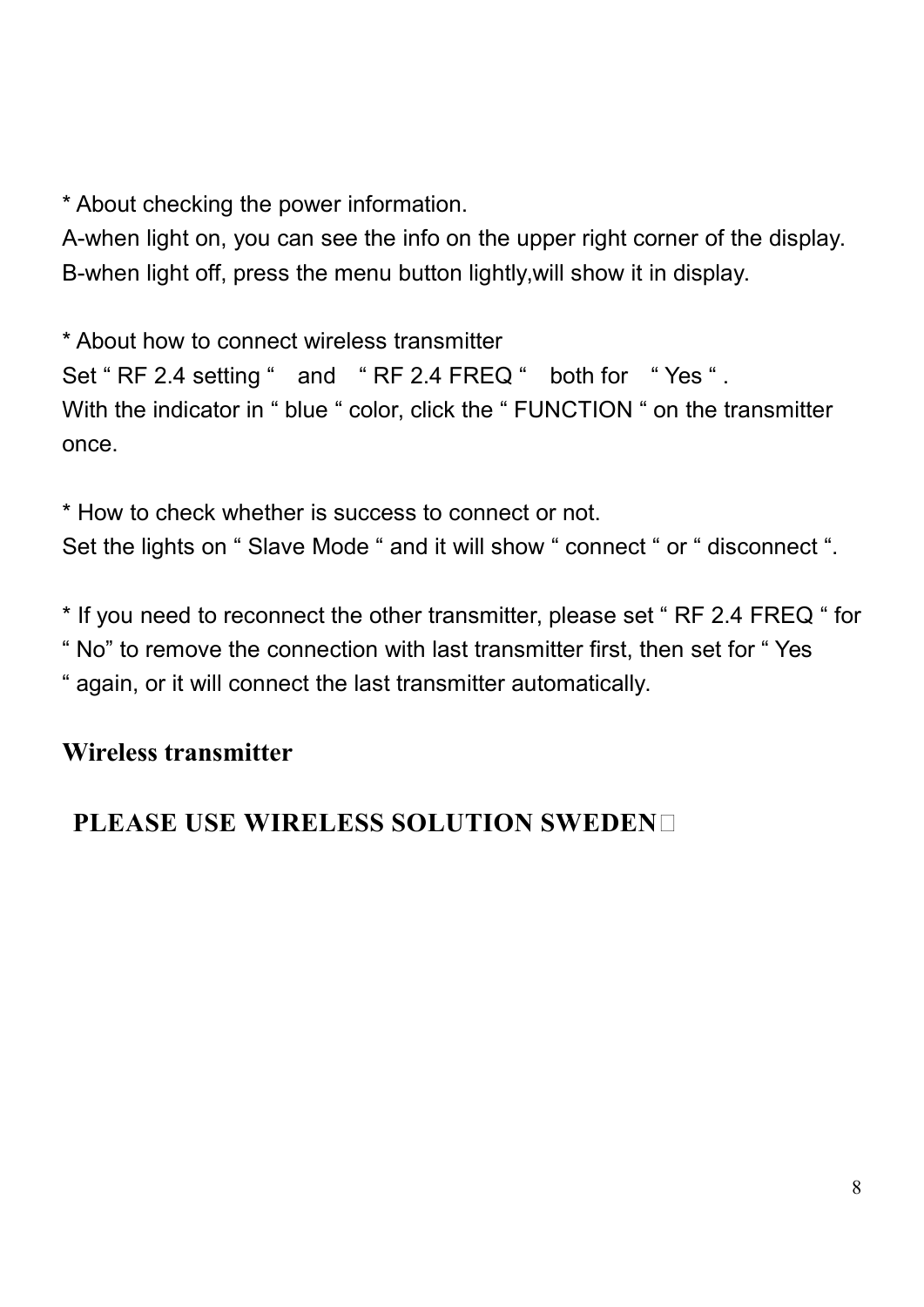\* About checking the power information.

A-when light on, you can see the info on the upper right corner of the display. B-when light off, press the menu button lightly,will show it in display.

\* About how to connect wireless transmitter Set " RF 2.4 setting " and " RF 2.4 FREQ " both for " Yes ". With the indicator in " blue " color, click the " FUNCTION " on the transmitter once.

\* How to check whether is success to connect or not. Set the lights on " Slave Mode " and it will show " connect " or " disconnect ".

\* If you need to reconnect the other transmitter, please set " RF 2.4 FREQ " for " No" to remove the connection with last transmitter first, then set for " Yes " again, or it will connect the last transmitter automatically.

# **Wireless transmitter**

# **PLEASE USE WIRELESS SOLUTION SWEDEN**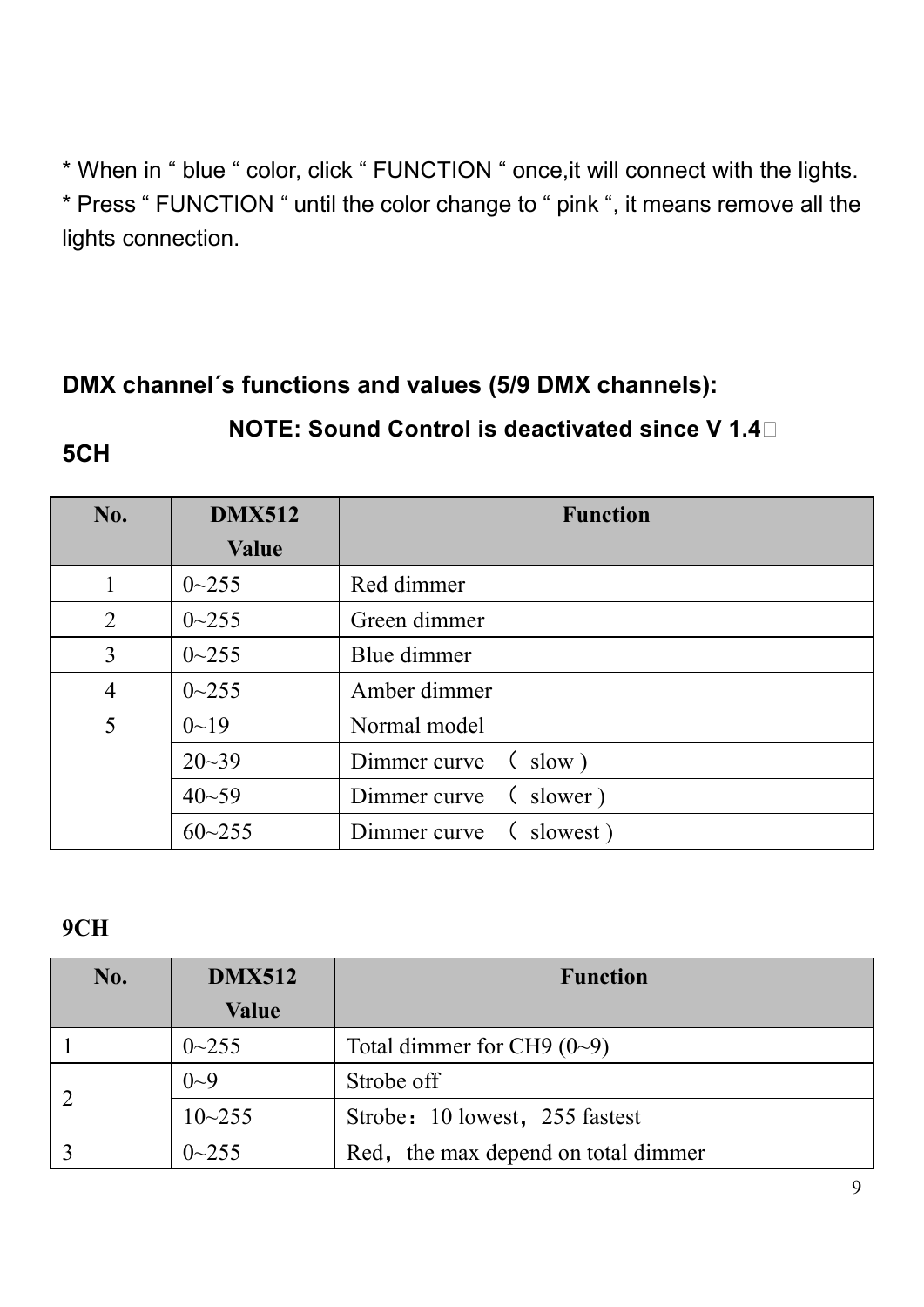\* When in " blue " color, click " FUNCTION " once,it will connect with the lights. \* Press " FUNCTION " until the color change to " pink ", it means remove all the lights connection.

# **DMX channel´s functions and values (5/9 DMX channels):**

#### **NOTE: Sound Control is deactivated since V 1.4**

#### **5CH**

| No.            | <b>DMX512</b> | <b>Function</b>          |
|----------------|---------------|--------------------------|
|                | <b>Value</b>  |                          |
|                | $0 - 255$     | Red dimmer               |
| 2              | $0 - 255$     | Green dimmer             |
| 3              | $0 - 255$     | Blue dimmer              |
| $\overline{4}$ | $0 - 255$     | Amber dimmer             |
| 5              | $0 - 19$      | Normal model             |
|                | $20 - 39$     | Dimmer curve (slow)      |
|                | $40 - 59$     | Dimmer curve (slower)    |
|                | $60 - 255$    | Dimmer curve<br>slowest) |

#### **9CH**

| No. | <b>DMX512</b> | <b>Function</b>                     |
|-----|---------------|-------------------------------------|
|     | Value         |                                     |
|     | $0 - 255$     | Total dimmer for CH9 $(0-9)$        |
|     | $0 - 9$       | Strobe off                          |
|     | $10 - 255$    | Strobe: 10 lowest, 255 fastest      |
|     | $0\sim 255$   | Red, the max depend on total dimmer |